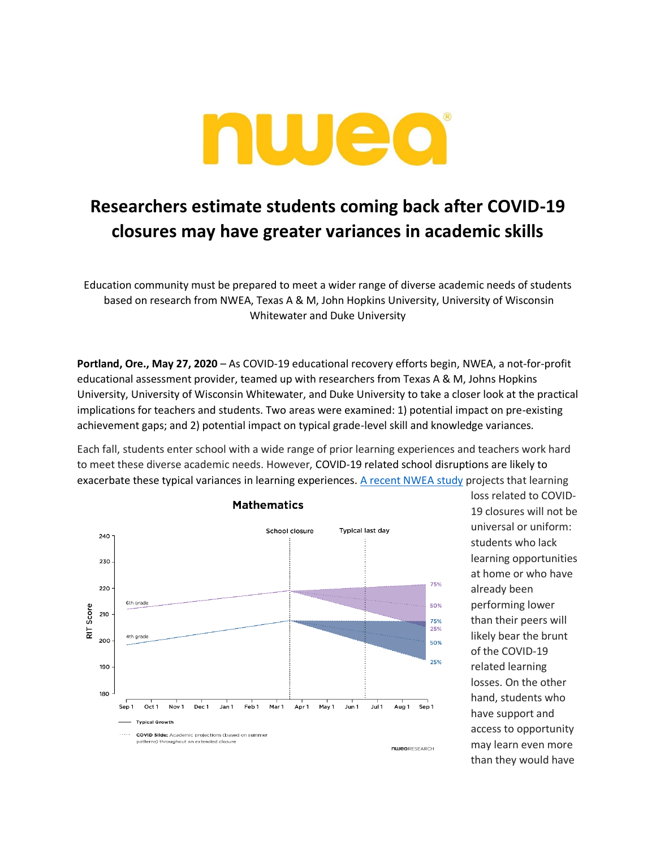

## **Researchers estimate students coming back after COVID-19 closures may have greater variances in academic skills**

Education community must be prepared to meet a wider range of diverse academic needs of students based on research from NWEA, Texas A & M, John Hopkins University, University of Wisconsin Whitewater and Duke University

**Portland, Ore., May 27, 2020** – As COVID-19 educational recovery efforts begin, NWEA, a not-for-profit educational assessment provider, teamed up with researchers from Texas A & M, Johns Hopkins University, University of Wisconsin Whitewater, and Duke University to take a closer look at the practical implications for teachers and students. Two areas were examined: 1) potential impact on pre-existing achievement gaps; and 2) potential impact on typical grade-level skill and knowledge variances.

Each fall, students enter school with a wide range of prior learning experiences and teachers work hard to meet these diverse academic needs. However, COVID-19 related school disruptions are likely to exacerbate these typical variances in learning experiences. [A recent NWEA study](https://www.nwea.org/research/publication/projecting-the-potential-impacts-of-covid-19-school-closures-on-academic-achievement/) projects that learning



loss related to COVID-19 closures will not be universal or uniform: students who lack learning opportunities at home or who have already been performing lower than their peers will likely bear the brunt of the COVID-19 related learning losses. On the other hand, students who have support and access to opportunity may learn even more than they would have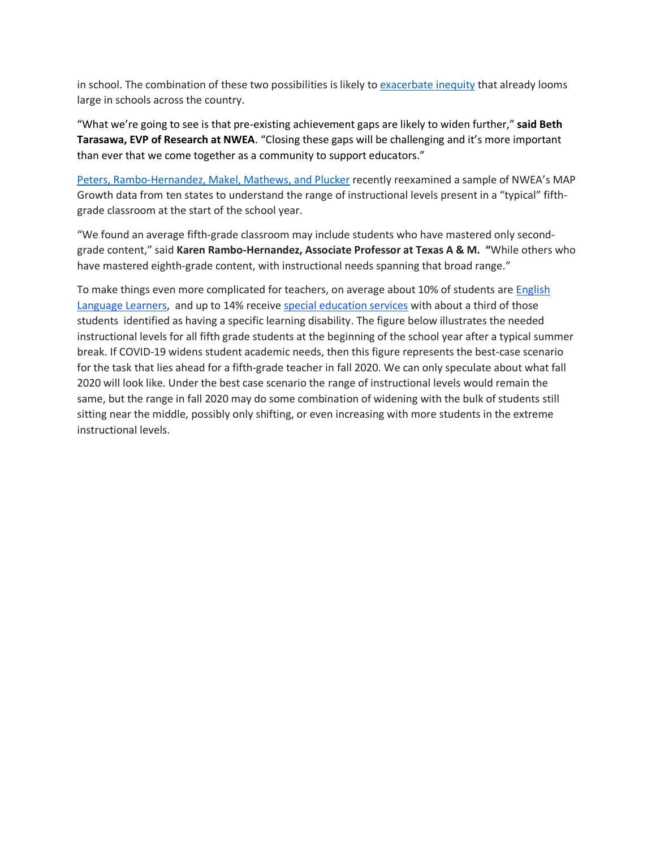in school. The combination of these two possibilities is likely to [exacerbate](https://hub.jhu.edu/2020/05/04/school-closures-inequality/) inequity that already looms large in schools across the country.

"What we're going to see is that pre-existing achievement gaps are likely to widen further," **said Beth Tarasawa, EVP of Research at NWEA**. "Closing these gaps will be challenging and it's more important than ever that we come together as a community to support educators."

[Peters, Rambo-Hernandez, Makel, Mathews, and Plucker](https://urldefense.proofpoint.com/v2/url?u=https-3A__journals.sagepub.com_doi_10.1177_0016986217701834&d=DwMGaQ&c=u6LDEWzohnDQ01ySGnxMzg&r=qBtT8f_IL1BrcZ0CoLmyfQvM-6c_OKiCYpacCjGMBME&m=2S2DzgIGm6zGuFawIpXEUSMHT8valhcfInYWjN2jGW0&s=OsDI9der6VFCIpQVtARd6r586IA3Y-cyzaknb3rrhSM&e=) recently reexamined a sample of NWEA's MAP Growth data from ten states to understand the range of instructional levels present in a "typical" fifthgrade classroom at the start of the school year.

"We found an average fifth-grade classroom may include students who have mastered only secondgrade content," said **Karen Rambo-Hernandez, Associate Professor at Texas A & M. "**While others who have mastered eighth-grade content, with instructional needs spanning that broad range."

To make things even more complicated for teachers, on average about 10% of students are [English](https://nces.ed.gov/programs/coe/indicator_cgf.asphttps:/nces.ed.gov/programs/coe/indicator_cgf.asp)  [Language Learners,](https://nces.ed.gov/programs/coe/indicator_cgf.asphttps:/nces.ed.gov/programs/coe/indicator_cgf.asp) and up to 14% receive [special education services](https://nces.ed.gov/programs/coe/indicator_cgg.asp) with about a third of those students identified as having a specific learning disability. The figure below illustrates the needed instructional levels for all fifth grade students at the beginning of the school year after a typical summer break. If COVID-19 widens student academic needs, then this figure represents the best-case scenario for the task that lies ahead for a fifth-grade teacher in fall 2020. We can only speculate about what fall 2020 will look like. Under the best case scenario the range of instructional levels would remain the same, but the range in fall 2020 may do some combination of widening with the bulk of students still sitting near the middle, possibly only shifting, or even increasing with more students in the extreme instructional levels.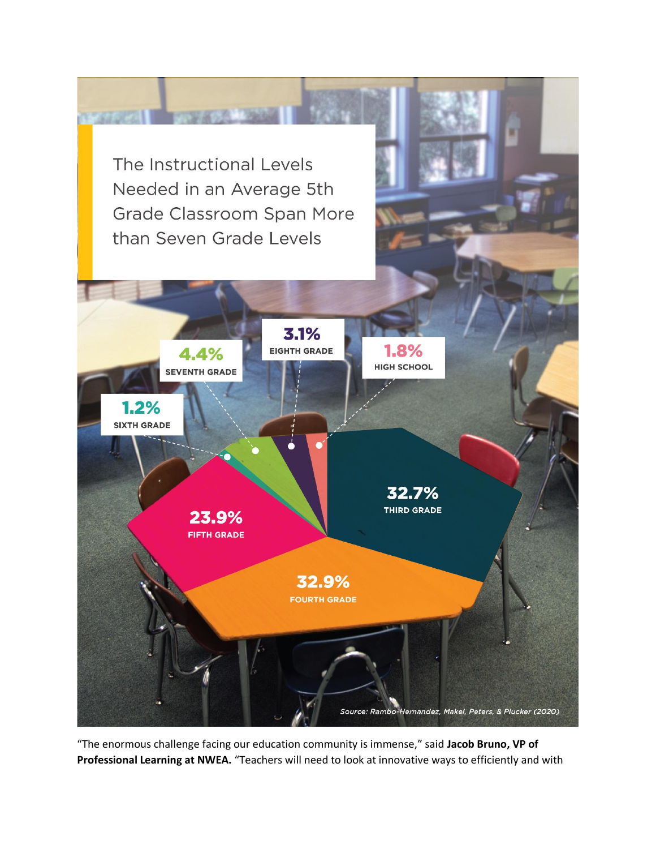

"The enormous challenge facing our education community is immense," said **Jacob Bruno, VP of Professional Learning at NWEA.** "Teachers will need to look at innovative ways to efficiently and with